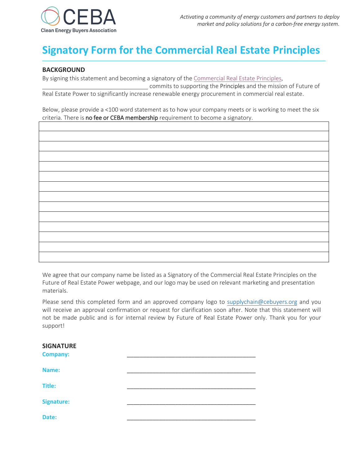

# **Signatory Form for the Commercial Real Estate Principles**

## **BACKGROUND**

By signing this statement and becoming a signatory of th[e Commercial Real Estate Principles,](https://Cebuyers.org/programs/supply-chain-and-international-collaboration/future-of-real-estate-power-forep/) 

commits to supporting the Principles and the mission of Future of Real Estate Power to significantly increase renewable energy procurement in commercial real estate.

Below, please provide a <100 word statement as to how your company meets or is working to meet the six criteria. There is no fee or CEBA membership requirement to become a signatory.

We agree that our company name be listed as a Signatory of the Commercial Real Estate Principles on the Future of Real Estate Power webpage, and our logo may be used on relevant marketing and presentation materials.

Please send this completed form and an approved company logo to [supplychain@](mailto:supplychain@Cebuyers.org)cebuyers.org and you will receive an approval confirmation or request for clarification soon after. Note that this statement will not be made public and is for internal review by Future of Real Estate Power only. Thank you for your support!

| <b>SIGNATURE</b><br><b>Company:</b> |  |
|-------------------------------------|--|
| Name:                               |  |
| <b>Title:</b>                       |  |
| <b>Signature:</b>                   |  |
| Date:                               |  |